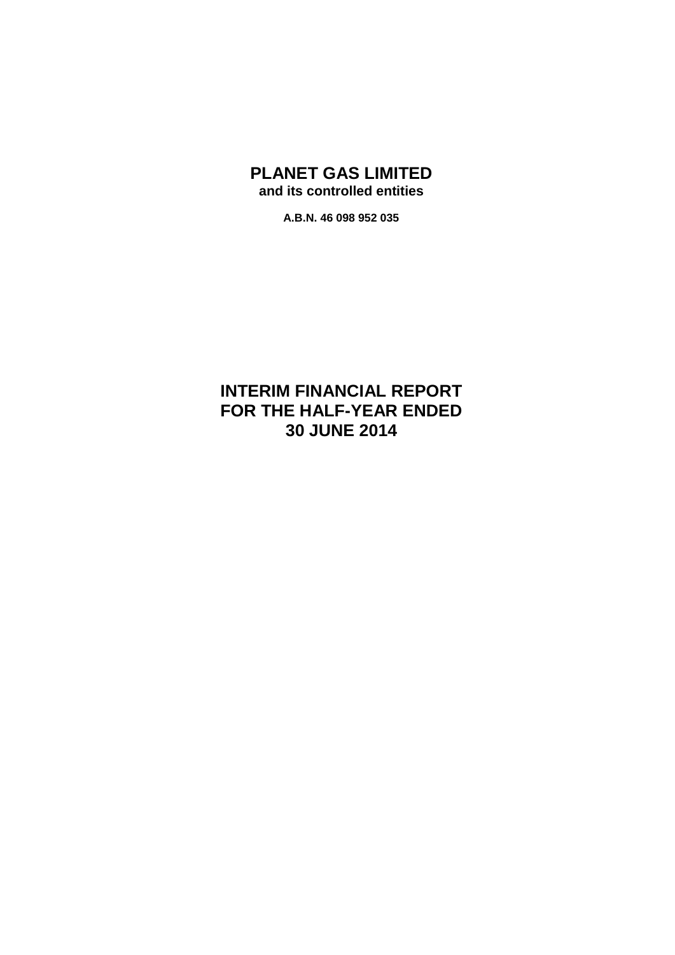# **PLANET GAS LIMITED and its controlled entities**

**A.B.N. 46 098 952 035**

# **INTERIM FINANCIAL REPORT FOR THE HALF-YEAR ENDED 30 JUNE 2014**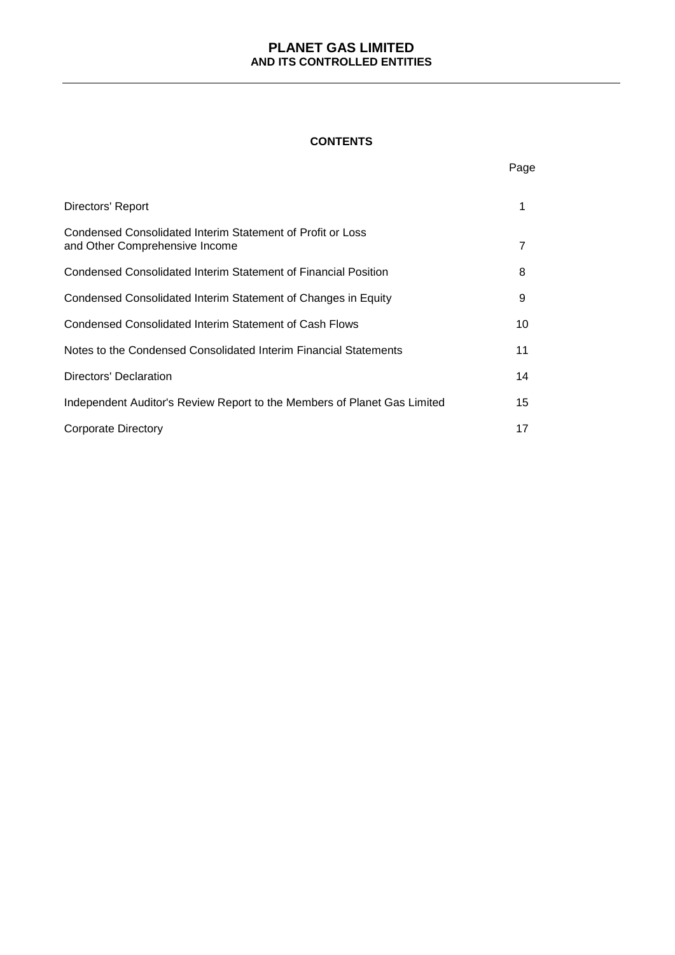#### **CONTENTS**

|                                                                                              | Page |
|----------------------------------------------------------------------------------------------|------|
| Directors' Report                                                                            | 1    |
| Condensed Consolidated Interim Statement of Profit or Loss<br>and Other Comprehensive Income | 7    |
| Condensed Consolidated Interim Statement of Financial Position                               | 8    |
| Condensed Consolidated Interim Statement of Changes in Equity                                | 9    |
| Condensed Consolidated Interim Statement of Cash Flows                                       | 10   |
| Notes to the Condensed Consolidated Interim Financial Statements                             | 11   |
| Directors' Declaration                                                                       | 14   |
| Independent Auditor's Review Report to the Members of Planet Gas Limited                     | 15   |
| Corporate Directory                                                                          | 17   |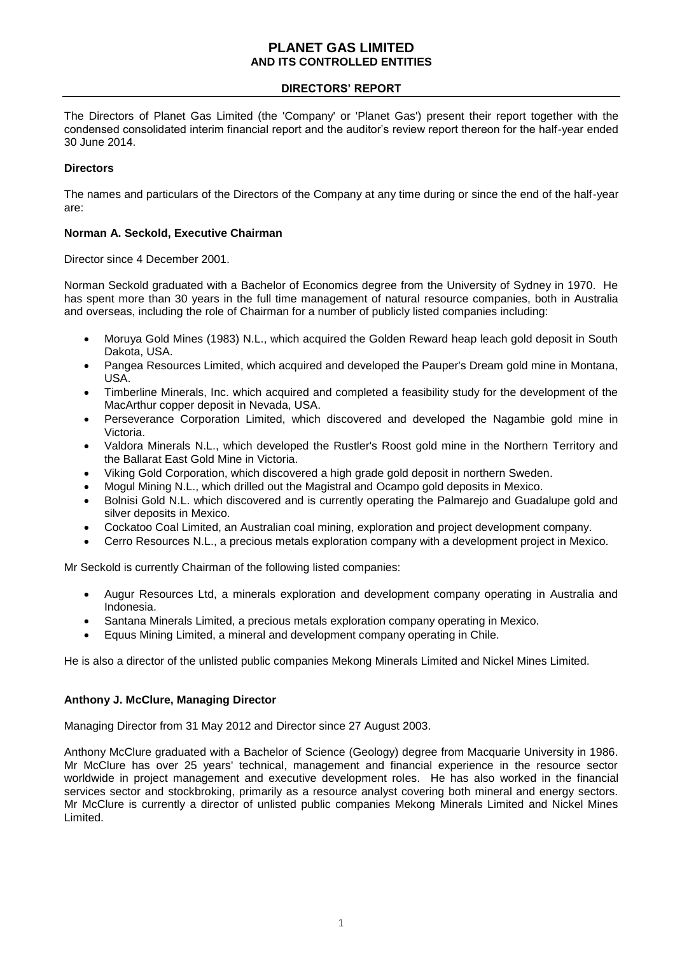## **DIRECTORS' REPORT**

The Directors of Planet Gas Limited (the 'Company' or 'Planet Gas') present their report together with the condensed consolidated interim financial report and the auditor's review report thereon for the half-year ended 30 June 2014.

## **Directors**

The names and particulars of the Directors of the Company at any time during or since the end of the half-year are:

## **Norman A. Seckold, Executive Chairman**

Director since 4 December 2001.

Norman Seckold graduated with a Bachelor of Economics degree from the University of Sydney in 1970. He has spent more than 30 years in the full time management of natural resource companies, both in Australia and overseas, including the role of Chairman for a number of publicly listed companies including:

- Moruya Gold Mines (1983) N.L., which acquired the Golden Reward heap leach gold deposit in South Dakota, USA.
- Pangea Resources Limited, which acquired and developed the Pauper's Dream gold mine in Montana, USA.
- Timberline Minerals, Inc. which acquired and completed a feasibility study for the development of the MacArthur copper deposit in Nevada, USA.
- Perseverance Corporation Limited, which discovered and developed the Nagambie gold mine in Victoria.
- Valdora Minerals N.L., which developed the Rustler's Roost gold mine in the Northern Territory and the Ballarat East Gold Mine in Victoria.
- Viking Gold Corporation, which discovered a high grade gold deposit in northern Sweden.
- Mogul Mining N.L., which drilled out the Magistral and Ocampo gold deposits in Mexico.
- Bolnisi Gold N.L. which discovered and is currently operating the Palmarejo and Guadalupe gold and silver deposits in Mexico.
- Cockatoo Coal Limited, an Australian coal mining, exploration and project development company.
- Cerro Resources N.L., a precious metals exploration company with a development project in Mexico.

Mr Seckold is currently Chairman of the following listed companies:

- Augur Resources Ltd, a minerals exploration and development company operating in Australia and Indonesia.
- Santana Minerals Limited, a precious metals exploration company operating in Mexico.
- Equus Mining Limited, a mineral and development company operating in Chile.

He is also a director of the unlisted public companies Mekong Minerals Limited and Nickel Mines Limited.

## **Anthony J. McClure, Managing Director**

Managing Director from 31 May 2012 and Director since 27 August 2003.

Anthony McClure graduated with a Bachelor of Science (Geology) degree from Macquarie University in 1986. Mr McClure has over 25 years' technical, management and financial experience in the resource sector worldwide in project management and executive development roles. He has also worked in the financial services sector and stockbroking, primarily as a resource analyst covering both mineral and energy sectors. Mr McClure is currently a director of unlisted public companies Mekong Minerals Limited and Nickel Mines Limited.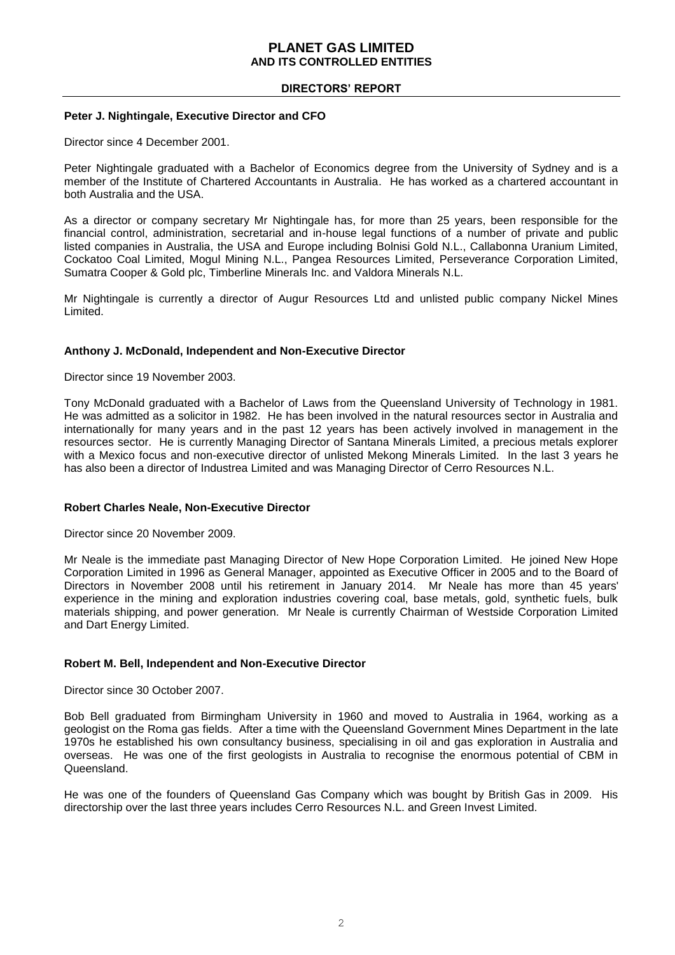## **DIRECTORS' REPORT**

#### **Peter J. Nightingale, Executive Director and CFO**

Director since 4 December 2001.

Peter Nightingale graduated with a Bachelor of Economics degree from the University of Sydney and is a member of the Institute of Chartered Accountants in Australia. He has worked as a chartered accountant in both Australia and the USA.

As a director or company secretary Mr Nightingale has, for more than 25 years, been responsible for the financial control, administration, secretarial and in-house legal functions of a number of private and public listed companies in Australia, the USA and Europe including Bolnisi Gold N.L., Callabonna Uranium Limited, Cockatoo Coal Limited, Mogul Mining N.L., Pangea Resources Limited, Perseverance Corporation Limited, Sumatra Cooper & Gold plc, Timberline Minerals Inc. and Valdora Minerals N.L.

Mr Nightingale is currently a director of Augur Resources Ltd and unlisted public company Nickel Mines Limited.

## **Anthony J. McDonald, Independent and Non-Executive Director**

Director since 19 November 2003.

Tony McDonald graduated with a Bachelor of Laws from the Queensland University of Technology in 1981. He was admitted as a solicitor in 1982. He has been involved in the natural resources sector in Australia and internationally for many years and in the past 12 years has been actively involved in management in the resources sector. He is currently Managing Director of Santana Minerals Limited, a precious metals explorer with a Mexico focus and non-executive director of unlisted Mekong Minerals Limited. In the last 3 years he has also been a director of Industrea Limited and was Managing Director of Cerro Resources N.L.

#### **Robert Charles Neale, Non-Executive Director**

Director since 20 November 2009.

Mr Neale is the immediate past Managing Director of New Hope Corporation Limited. He joined New Hope Corporation Limited in 1996 as General Manager, appointed as Executive Officer in 2005 and to the Board of Directors in November 2008 until his retirement in January 2014. Mr Neale has more than 45 years' experience in the mining and exploration industries covering coal, base metals, gold, synthetic fuels, bulk materials shipping, and power generation. Mr Neale is currently Chairman of Westside Corporation Limited and Dart Energy Limited.

## **Robert M. Bell, Independent and Non-Executive Director**

Director since 30 October 2007.

Bob Bell graduated from Birmingham University in 1960 and moved to Australia in 1964, working as a geologist on the Roma gas fields. After a time with the Queensland Government Mines Department in the late 1970s he established his own consultancy business, specialising in oil and gas exploration in Australia and overseas. He was one of the first geologists in Australia to recognise the enormous potential of CBM in Queensland.

He was one of the founders of Queensland Gas Company which was bought by British Gas in 2009. His directorship over the last three years includes Cerro Resources N.L. and Green Invest Limited.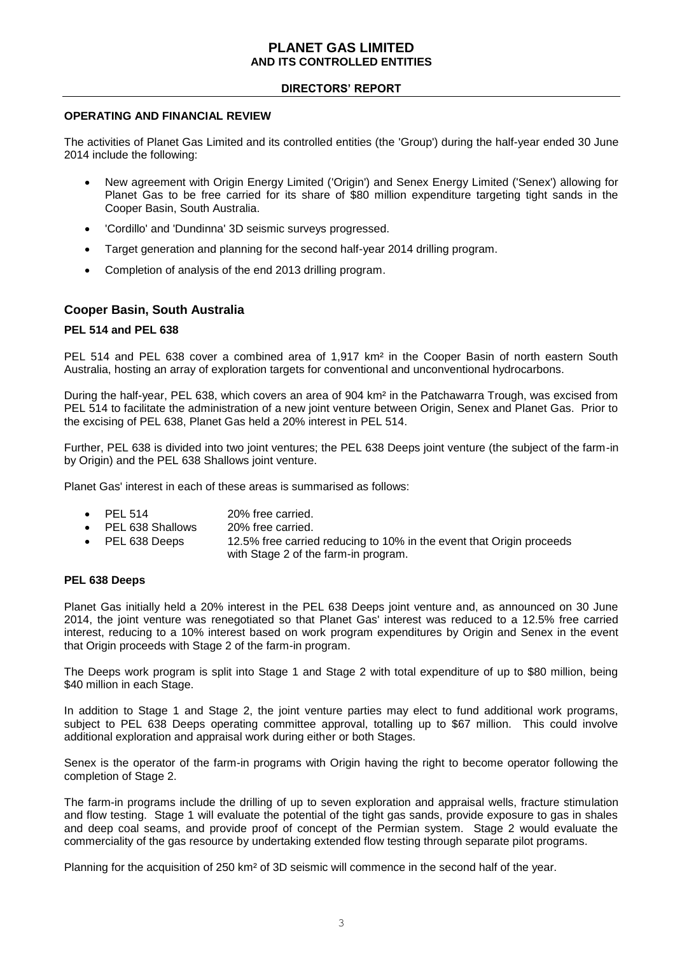## **DIRECTORS' REPORT**

#### **OPERATING AND FINANCIAL REVIEW**

The activities of Planet Gas Limited and its controlled entities (the 'Group') during the half-year ended 30 June 2014 include the following:

- New agreement with Origin Energy Limited ('Origin') and Senex Energy Limited ('Senex') allowing for Planet Gas to be free carried for its share of \$80 million expenditure targeting tight sands in the Cooper Basin, South Australia.
- 'Cordillo' and 'Dundinna' 3D seismic surveys progressed.
- Target generation and planning for the second half-year 2014 drilling program.
- Completion of analysis of the end 2013 drilling program.

## **Cooper Basin, South Australia**

#### **PEL 514 and PEL 638**

PEL 514 and PEL 638 cover a combined area of 1,917 km² in the Cooper Basin of north eastern South Australia, hosting an array of exploration targets for conventional and unconventional hydrocarbons.

During the half-year, PEL 638, which covers an area of 904 km² in the Patchawarra Trough, was excised from PEL 514 to facilitate the administration of a new joint venture between Origin, Senex and Planet Gas. Prior to the excising of PEL 638, Planet Gas held a 20% interest in PEL 514.

Further, PEL 638 is divided into two joint ventures; the PEL 638 Deeps joint venture (the subject of the farm-in by Origin) and the PEL 638 Shallows joint venture.

Planet Gas' interest in each of these areas is summarised as follows:

- PEL 514 20% free carried.
- PEL 638 Shallows 20% free carried.
- PEL 638 Deeps 12.5% free carried reducing to 10% in the event that Origin proceeds with Stage 2 of the farm-in program.

#### **PEL 638 Deeps**

Planet Gas initially held a 20% interest in the PEL 638 Deeps joint venture and, as announced on 30 June 2014, the joint venture was renegotiated so that Planet Gas' interest was reduced to a 12.5% free carried interest, reducing to a 10% interest based on work program expenditures by Origin and Senex in the event that Origin proceeds with Stage 2 of the farm-in program.

The Deeps work program is split into Stage 1 and Stage 2 with total expenditure of up to \$80 million, being \$40 million in each Stage.

In addition to Stage 1 and Stage 2, the joint venture parties may elect to fund additional work programs, subject to PEL 638 Deeps operating committee approval, totalling up to \$67 million. This could involve additional exploration and appraisal work during either or both Stages.

Senex is the operator of the farm-in programs with Origin having the right to become operator following the completion of Stage 2.

The farm-in programs include the drilling of up to seven exploration and appraisal wells, fracture stimulation and flow testing. Stage 1 will evaluate the potential of the tight gas sands, provide exposure to gas in shales and deep coal seams, and provide proof of concept of the Permian system. Stage 2 would evaluate the commerciality of the gas resource by undertaking extended flow testing through separate pilot programs.

Planning for the acquisition of 250 km² of 3D seismic will commence in the second half of the year.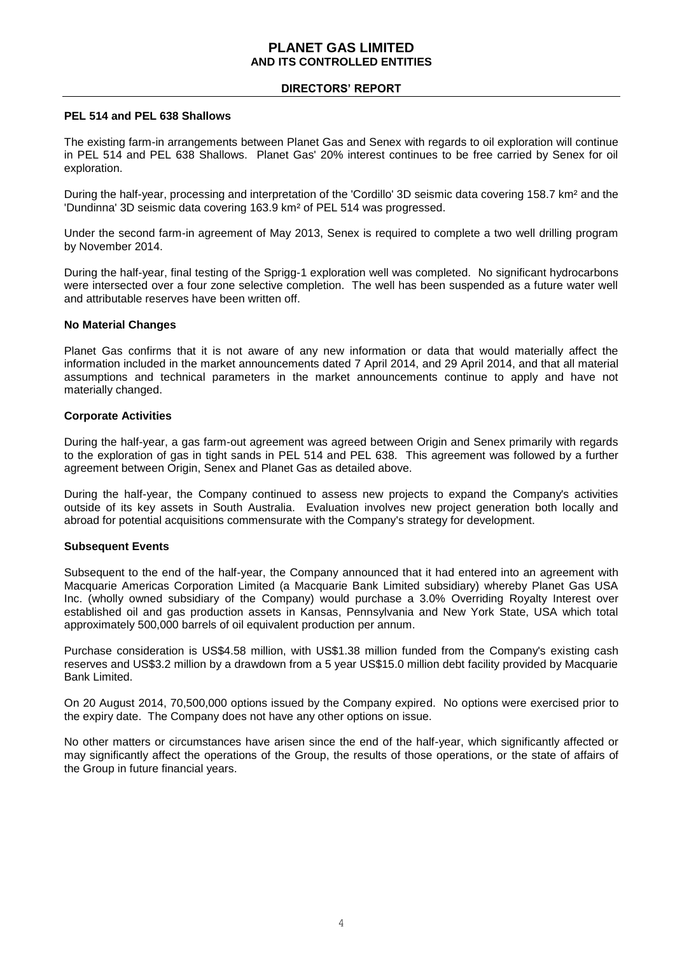## **DIRECTORS' REPORT**

#### **PEL 514 and PEL 638 Shallows**

The existing farm-in arrangements between Planet Gas and Senex with regards to oil exploration will continue in PEL 514 and PEL 638 Shallows. Planet Gas' 20% interest continues to be free carried by Senex for oil exploration.

During the half-year, processing and interpretation of the 'Cordillo' 3D seismic data covering 158.7 km² and the 'Dundinna' 3D seismic data covering 163.9 km² of PEL 514 was progressed.

Under the second farm-in agreement of May 2013, Senex is required to complete a two well drilling program by November 2014.

During the half-year, final testing of the Sprigg-1 exploration well was completed. No significant hydrocarbons were intersected over a four zone selective completion. The well has been suspended as a future water well and attributable reserves have been written off.

## **No Material Changes**

Planet Gas confirms that it is not aware of any new information or data that would materially affect the information included in the market announcements dated 7 April 2014, and 29 April 2014, and that all material assumptions and technical parameters in the market announcements continue to apply and have not materially changed.

## **Corporate Activities**

During the half-year, a gas farm-out agreement was agreed between Origin and Senex primarily with regards to the exploration of gas in tight sands in PEL 514 and PEL 638. This agreement was followed by a further agreement between Origin, Senex and Planet Gas as detailed above.

During the half-year, the Company continued to assess new projects to expand the Company's activities outside of its key assets in South Australia. Evaluation involves new project generation both locally and abroad for potential acquisitions commensurate with the Company's strategy for development.

#### **Subsequent Events**

Subsequent to the end of the half-year, the Company announced that it had entered into an agreement with Macquarie Americas Corporation Limited (a Macquarie Bank Limited subsidiary) whereby Planet Gas USA Inc. (wholly owned subsidiary of the Company) would purchase a 3.0% Overriding Royalty Interest over established oil and gas production assets in Kansas, Pennsylvania and New York State, USA which total approximately 500,000 barrels of oil equivalent production per annum.

Purchase consideration is US\$4.58 million, with US\$1.38 million funded from the Company's existing cash reserves and US\$3.2 million by a drawdown from a 5 year US\$15.0 million debt facility provided by Macquarie Bank Limited.

On 20 August 2014, 70,500,000 options issued by the Company expired. No options were exercised prior to the expiry date. The Company does not have any other options on issue.

No other matters or circumstances have arisen since the end of the half-year, which significantly affected or may significantly affect the operations of the Group, the results of those operations, or the state of affairs of the Group in future financial years.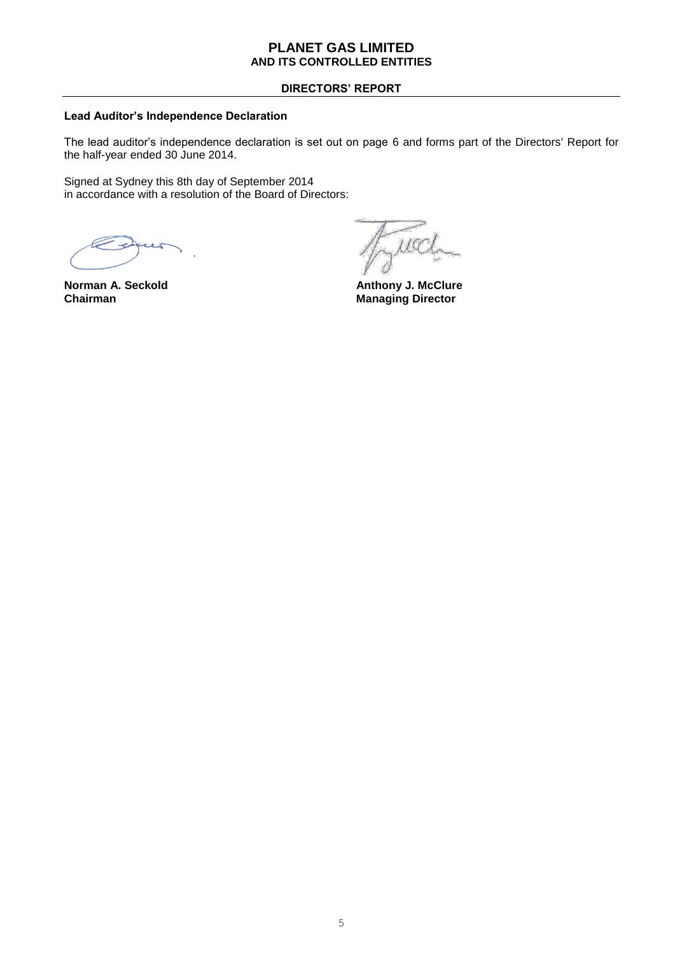## **DIRECTORS' REPORT**

## **Lead Auditor's Independence Declaration**

The lead auditor's independence declaration is set out on page 6 and forms part of the Directors' Report for the half-year ended 30 June 2014.

Signed at Sydney this 8th day of September 2014 in accordance with a resolution of the Board of Directors:

uccl

**Norman A. Seckold Anthony J. McClure Chairman** Managing Director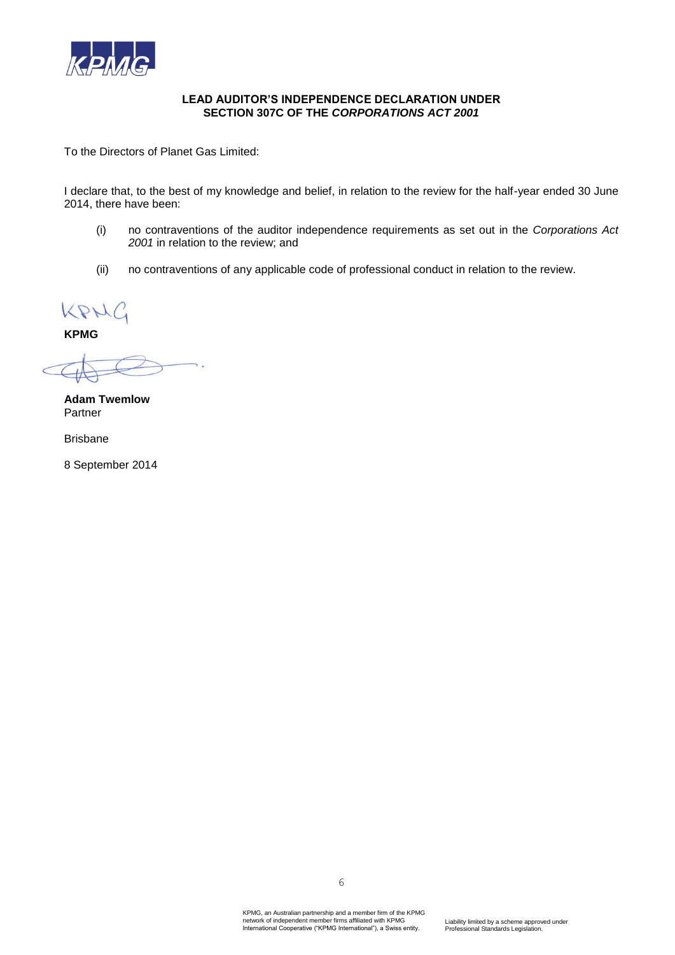

## **LEAD AUDITOR'S INDEPENDENCE DECLARATION UNDER SECTION 307C OF THE** *CORPORATIONS ACT 2001*

To the Directors of Planet Gas Limited:

I declare that, to the best of my knowledge and belief, in relation to the review for the half-year ended 30 June 2014, there have been:

- (i) no contraventions of the auditor independence requirements as set out in the *Corporations Act 2001* in relation to the review; and
- (ii) no contraventions of any applicable code of professional conduct in relation to the review.

KPMG

**KPMG**

 $\overline{\phantom{a}}$ 

**Adam Twemlow** Partner

Brisbane

8 September 2014

6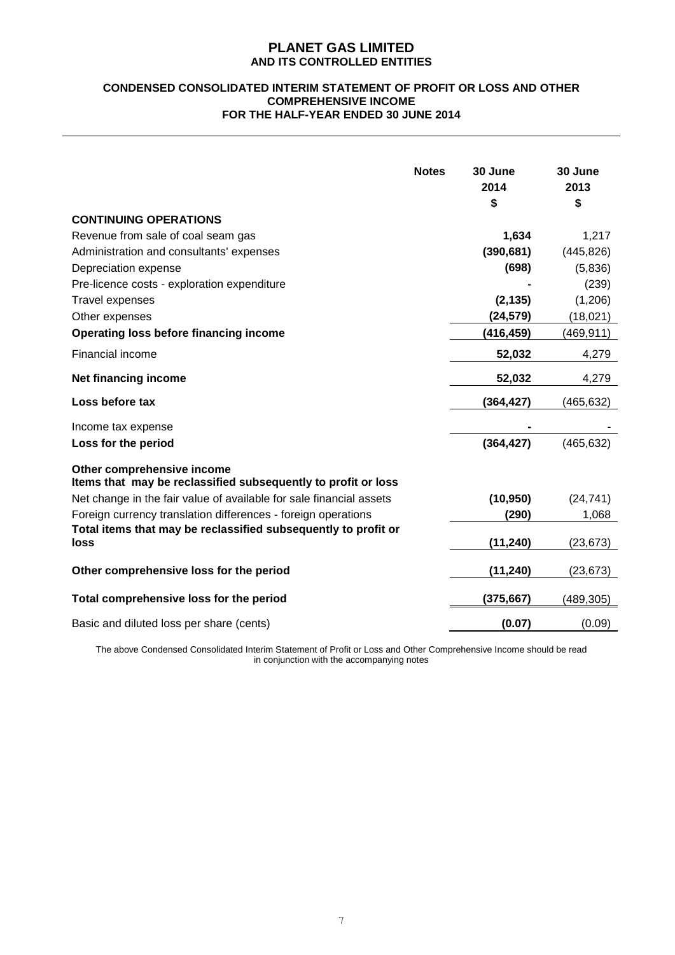#### **CONDENSED CONSOLIDATED INTERIM STATEMENT OF PROFIT OR LOSS AND OTHER COMPREHENSIVE INCOME FOR THE HALF-YEAR ENDED 30 JUNE 2014**

|                                                                                             | <b>Notes</b> | 30 June<br>2014<br>\$ | 30 June<br>2013<br>\$ |
|---------------------------------------------------------------------------------------------|--------------|-----------------------|-----------------------|
| <b>CONTINUING OPERATIONS</b>                                                                |              |                       |                       |
| Revenue from sale of coal seam gas                                                          |              | 1,634                 | 1,217                 |
| Administration and consultants' expenses                                                    |              | (390, 681)            | (445, 826)            |
| Depreciation expense                                                                        |              | (698)                 | (5,836)               |
| Pre-licence costs - exploration expenditure                                                 |              |                       | (239)                 |
| Travel expenses                                                                             |              | (2, 135)              | (1,206)               |
| Other expenses                                                                              |              | (24, 579)             | (18,021)              |
| Operating loss before financing income                                                      |              | (416, 459)            | (469, 911)            |
| Financial income                                                                            |              | 52,032                | 4,279                 |
| Net financing income                                                                        |              | 52,032                | 4,279                 |
| Loss before tax                                                                             |              | (364,427)             | (465, 632)            |
| Income tax expense                                                                          |              |                       |                       |
| Loss for the period                                                                         |              | (364, 427)            | (465, 632)            |
| Other comprehensive income<br>Items that may be reclassified subsequently to profit or loss |              |                       |                       |
| Net change in the fair value of available for sale financial assets                         |              | (10, 950)             | (24, 741)             |
| Foreign currency translation differences - foreign operations                               |              | (290)                 | 1,068                 |
| Total items that may be reclassified subsequently to profit or<br>loss                      |              | (11, 240)             | (23, 673)             |
|                                                                                             |              |                       |                       |
| Other comprehensive loss for the period                                                     |              | (11, 240)             | (23,673)              |
| Total comprehensive loss for the period                                                     |              | (375, 667)            | (489,305)             |
| Basic and diluted loss per share (cents)                                                    |              | (0.07)                | (0.09)                |

The above Condensed Consolidated Interim Statement of Profit or Loss and Other Comprehensive Income should be read in conjunction with the accompanying notes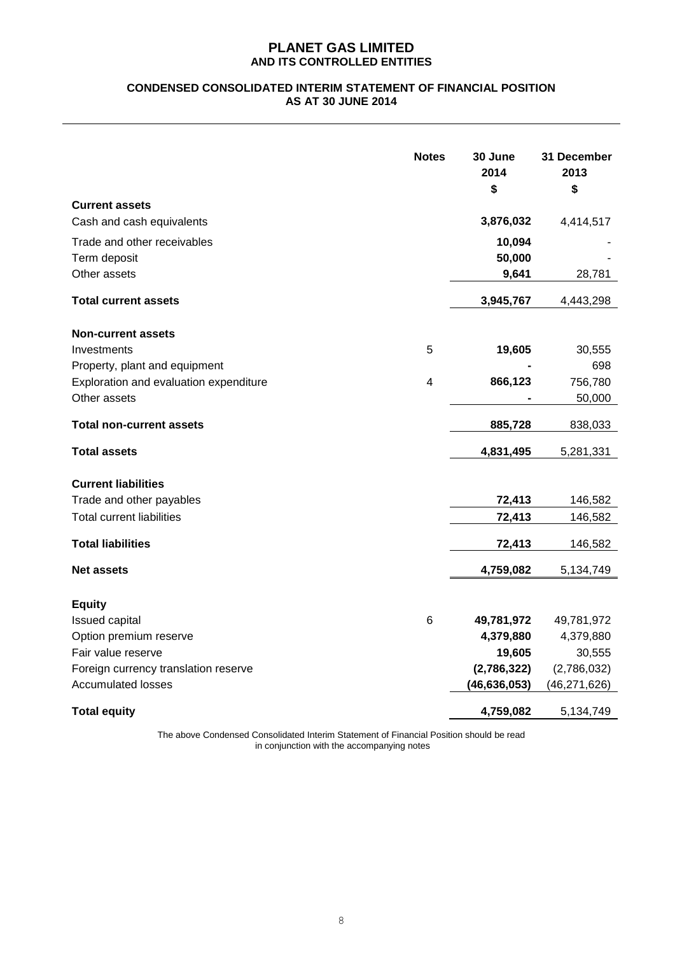## **CONDENSED CONSOLIDATED INTERIM STATEMENT OF FINANCIAL POSITION AS AT 30 JUNE 2014**

|                                        | <b>Notes</b> | 30 June<br>2014<br>\$ | 31 December<br>2013<br>\$ |
|----------------------------------------|--------------|-----------------------|---------------------------|
| <b>Current assets</b>                  |              |                       |                           |
| Cash and cash equivalents              |              | 3,876,032             | 4,414,517                 |
| Trade and other receivables            |              | 10,094                |                           |
| Term deposit                           |              | 50,000                |                           |
| Other assets                           |              | 9,641                 | 28,781                    |
| <b>Total current assets</b>            |              | 3,945,767             | 4,443,298                 |
| <b>Non-current assets</b>              |              |                       |                           |
| Investments                            | 5            | 19,605                | 30,555                    |
| Property, plant and equipment          |              |                       | 698                       |
| Exploration and evaluation expenditure | 4            | 866,123               | 756,780                   |
| Other assets                           |              |                       | 50,000                    |
| <b>Total non-current assets</b>        |              | 885,728               | 838,033                   |
| <b>Total assets</b>                    |              | 4,831,495             | 5,281,331                 |
| <b>Current liabilities</b>             |              |                       |                           |
| Trade and other payables               |              | 72,413                | 146,582                   |
| <b>Total current liabilities</b>       |              | 72,413                | 146,582                   |
| <b>Total liabilities</b>               |              |                       |                           |
|                                        |              | 72,413                | 146,582                   |
| <b>Net assets</b>                      |              | 4,759,082             | 5,134,749                 |
| <b>Equity</b>                          |              |                       |                           |
| Issued capital                         | 6            | 49,781,972            | 49,781,972                |
| Option premium reserve                 |              | 4,379,880             | 4,379,880                 |
| Fair value reserve                     |              | 19,605                | 30,555                    |
| Foreign currency translation reserve   |              | (2,786,322)           | (2,786,032)               |
| <b>Accumulated losses</b>              |              | (46, 636, 053)        | (46, 271, 626)            |
| <b>Total equity</b>                    |              | 4,759,082             | 5,134,749                 |

The above Condensed Consolidated Interim Statement of Financial Position should be read in conjunction with the accompanying notes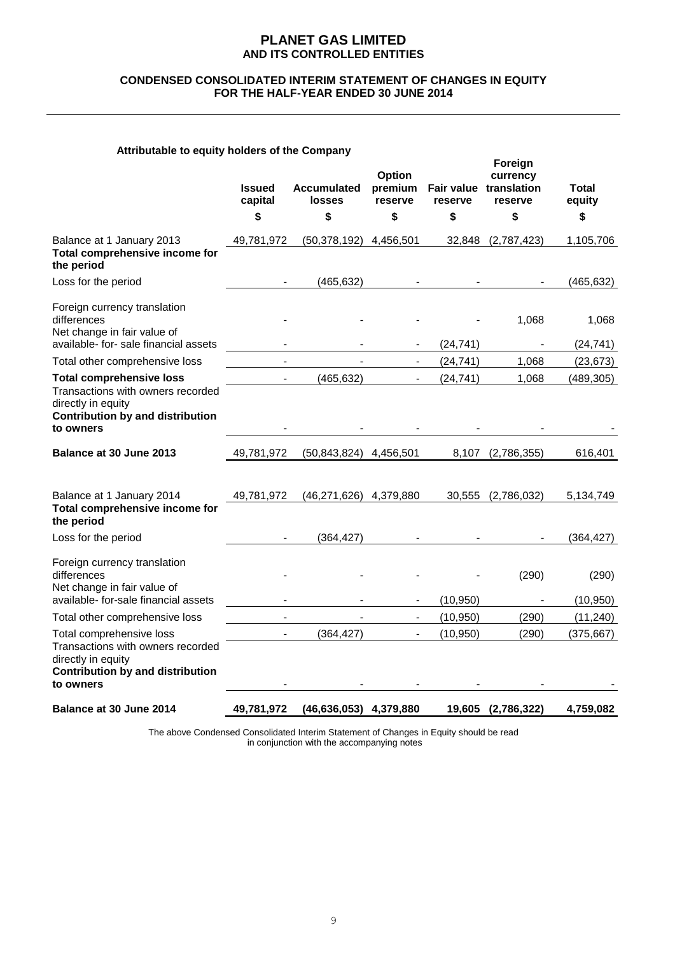#### **CONDENSED CONSOLIDATED INTERIM STATEMENT OF CHANGES IN EQUITY FOR THE HALF-YEAR ENDED 30 JUNE 2014**

## **Attributable to equity holders of the Company**

|                                                                                                                                | <b>Issued</b><br>capital | <b>Accumulated</b><br>losses | Option<br>premium<br>reserve | reserve   | Foreign<br>currency<br>Fair value translation<br>reserve | <b>Total</b><br>equity |
|--------------------------------------------------------------------------------------------------------------------------------|--------------------------|------------------------------|------------------------------|-----------|----------------------------------------------------------|------------------------|
|                                                                                                                                | \$                       | \$                           | \$                           | \$        | \$                                                       | \$                     |
| Balance at 1 January 2013<br>Total comprehensive income for<br>the period                                                      | 49,781,972               | (50, 378, 192)               | 4,456,501                    | 32,848    | (2,787,423)                                              | 1,105,706              |
| Loss for the period                                                                                                            |                          | (465, 632)                   |                              |           |                                                          | (465, 632)             |
| Foreign currency translation<br>differences<br>Net change in fair value of<br>available- for- sale financial assets            |                          |                              |                              | (24, 741) | 1,068                                                    | 1,068<br>(24, 741)     |
| Total other comprehensive loss                                                                                                 |                          |                              |                              | (24, 741) | 1,068                                                    | (23, 673)              |
| <b>Total comprehensive loss</b>                                                                                                |                          | (465, 632)                   |                              | (24, 741) | 1,068                                                    | (489, 305)             |
| Transactions with owners recorded<br>directly in equity<br><b>Contribution by and distribution</b><br>to owners                |                          |                              |                              |           |                                                          |                        |
| Balance at 30 June 2013                                                                                                        | 49,781,972               | (50, 843, 824)               | 4,456,501                    | 8,107     | (2,786,355)                                              | 616,401                |
| Balance at 1 January 2014<br>Total comprehensive income for                                                                    | 49,781,972               | (46,271,626) 4,379,880       |                              | 30,555    | (2,786,032)                                              | 5,134,749              |
| the period                                                                                                                     |                          |                              |                              |           |                                                          |                        |
| Loss for the period                                                                                                            |                          | (364, 427)                   |                              |           |                                                          | (364, 427)             |
| Foreign currency translation<br>differences<br>Net change in fair value of                                                     |                          |                              |                              |           | (290)                                                    | (290)                  |
| available- for-sale financial assets                                                                                           |                          |                              | $\overline{\phantom{0}}$     | (10, 950) |                                                          | (10, 950)              |
| Total other comprehensive loss                                                                                                 |                          |                              |                              | (10, 950) | (290)                                                    | (11, 240)              |
| Total comprehensive loss<br>Transactions with owners recorded<br>directly in equity<br><b>Contribution by and distribution</b> |                          | (364, 427)                   | $\overline{\phantom{0}}$     | (10, 950) | (290)                                                    | (375, 667)             |
| to owners<br>Balance at 30 June 2014                                                                                           | 49,781,972               | (46,636,053) 4,379,880       |                              | 19,605    | (2,786,322)                                              | 4,759,082              |

The above Condensed Consolidated Interim Statement of Changes in Equity should be read in conjunction with the accompanying notes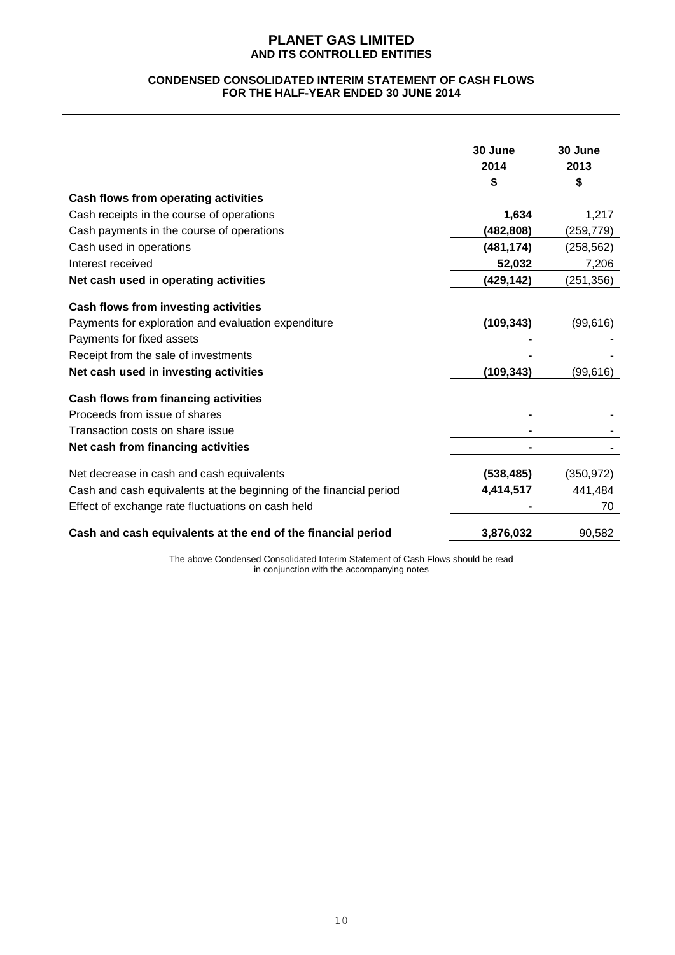#### **CONDENSED CONSOLIDATED INTERIM STATEMENT OF CASH FLOWS FOR THE HALF-YEAR ENDED 30 JUNE 2014**

|                                                                    | 30 June<br>2014<br>\$ | 30 June<br>2013<br>\$ |
|--------------------------------------------------------------------|-----------------------|-----------------------|
| Cash flows from operating activities                               |                       |                       |
| Cash receipts in the course of operations                          | 1,634                 | 1,217                 |
| Cash payments in the course of operations                          | (482, 808)            | (259, 779)            |
| Cash used in operations                                            | (481, 174)            | (258, 562)            |
| Interest received                                                  | 52,032                | 7,206                 |
| Net cash used in operating activities                              | (429,142)             | (251, 356)            |
| Cash flows from investing activities                               |                       |                       |
| Payments for exploration and evaluation expenditure                | (109, 343)            | (99, 616)             |
| Payments for fixed assets                                          |                       |                       |
| Receipt from the sale of investments                               |                       |                       |
| Net cash used in investing activities                              | (109, 343)            | (99, 616)             |
| <b>Cash flows from financing activities</b>                        |                       |                       |
| Proceeds from issue of shares                                      |                       |                       |
| Transaction costs on share issue                                   |                       |                       |
| Net cash from financing activities                                 |                       |                       |
| Net decrease in cash and cash equivalents                          | (538, 485)            | (350, 972)            |
| Cash and cash equivalents at the beginning of the financial period | 4,414,517             | 441,484               |
| Effect of exchange rate fluctuations on cash held                  |                       | 70                    |
| Cash and cash equivalents at the end of the financial period       | 3,876,032             | 90,582                |

The above Condensed Consolidated Interim Statement of Cash Flows should be read in conjunction with the accompanying notes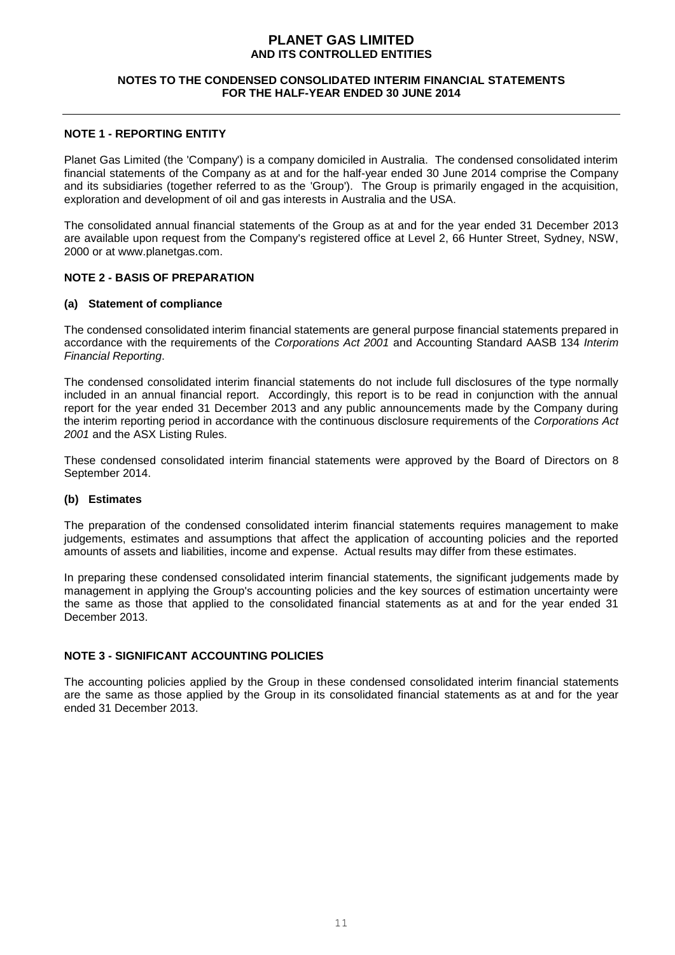#### **NOTES TO THE CONDENSED CONSOLIDATED INTERIM FINANCIAL STATEMENTS FOR THE HALF-YEAR ENDED 30 JUNE 2014**

## **NOTE 1 - REPORTING ENTITY**

Planet Gas Limited (the 'Company') is a company domiciled in Australia. The condensed consolidated interim financial statements of the Company as at and for the half-year ended 30 June 2014 comprise the Company and its subsidiaries (together referred to as the 'Group'). The Group is primarily engaged in the acquisition, exploration and development of oil and gas interests in Australia and the USA.

The consolidated annual financial statements of the Group as at and for the year ended 31 December 2013 are available upon request from the Company's registered office at Level 2, 66 Hunter Street, Sydney, NSW, 2000 or at www.planetgas.com.

## **NOTE 2 - BASIS OF PREPARATION**

#### **(a) Statement of compliance**

The condensed consolidated interim financial statements are general purpose financial statements prepared in accordance with the requirements of the *Corporations Act 2001* and Accounting Standard AASB 134 *Interim Financial Reporting*.

The condensed consolidated interim financial statements do not include full disclosures of the type normally included in an annual financial report. Accordingly, this report is to be read in conjunction with the annual report for the year ended 31 December 2013 and any public announcements made by the Company during the interim reporting period in accordance with the continuous disclosure requirements of the *Corporations Act 2001* and the ASX Listing Rules.

These condensed consolidated interim financial statements were approved by the Board of Directors on 8 September 2014.

#### **(b) Estimates**

The preparation of the condensed consolidated interim financial statements requires management to make judgements, estimates and assumptions that affect the application of accounting policies and the reported amounts of assets and liabilities, income and expense. Actual results may differ from these estimates.

In preparing these condensed consolidated interim financial statements, the significant judgements made by management in applying the Group's accounting policies and the key sources of estimation uncertainty were the same as those that applied to the consolidated financial statements as at and for the year ended 31 December 2013.

## **NOTE 3 - SIGNIFICANT ACCOUNTING POLICIES**

The accounting policies applied by the Group in these condensed consolidated interim financial statements are the same as those applied by the Group in its consolidated financial statements as at and for the year ended 31 December 2013.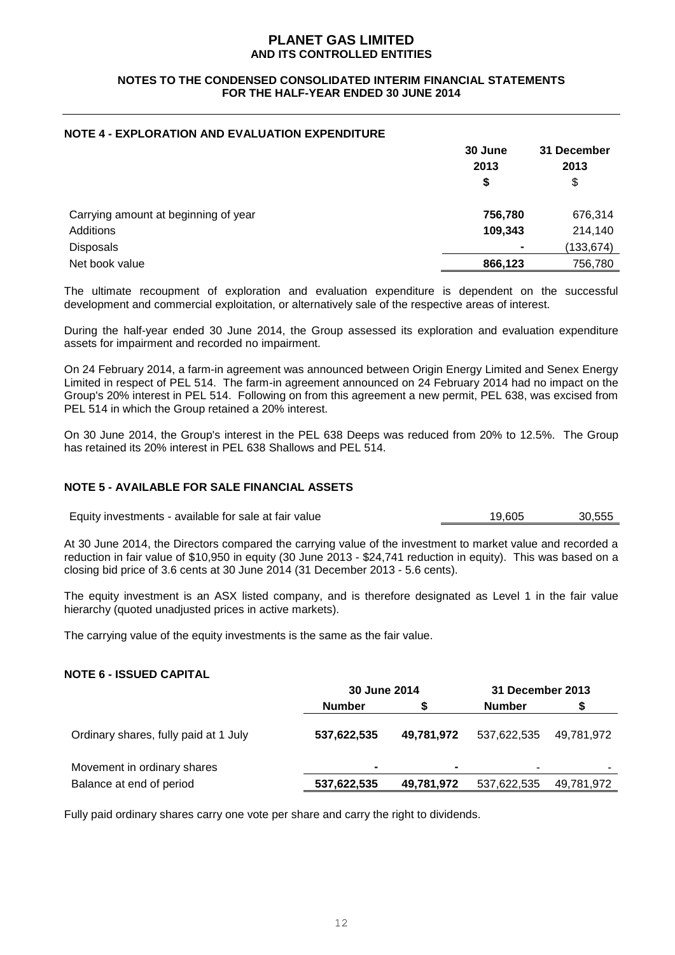#### **NOTES TO THE CONDENSED CONSOLIDATED INTERIM FINANCIAL STATEMENTS FOR THE HALF-YEAR ENDED 30 JUNE 2014**

## **NOTE 4 - EXPLORATION AND EVALUATION EXPENDITURE**

|                                      | 30 June<br>2013<br>\$ | 31 December<br>2013<br>\$ |
|--------------------------------------|-----------------------|---------------------------|
| Carrying amount at beginning of year | 756,780               | 676,314                   |
| Additions                            | 109,343               | 214,140                   |
| <b>Disposals</b>                     | $\blacksquare$        | (133, 674)                |
| Net book value                       | 866,123               | 756,780                   |

The ultimate recoupment of exploration and evaluation expenditure is dependent on the successful development and commercial exploitation, or alternatively sale of the respective areas of interest.

During the half-year ended 30 June 2014, the Group assessed its exploration and evaluation expenditure assets for impairment and recorded no impairment.

On 24 February 2014, a farm-in agreement was announced between Origin Energy Limited and Senex Energy Limited in respect of PEL 514. The farm-in agreement announced on 24 February 2014 had no impact on the Group's 20% interest in PEL 514. Following on from this agreement a new permit, PEL 638, was excised from PEL 514 in which the Group retained a 20% interest.

On 30 June 2014, the Group's interest in the PEL 638 Deeps was reduced from 20% to 12.5%. The Group has retained its 20% interest in PEL 638 Shallows and PEL 514.

## **NOTE 5 - AVAILABLE FOR SALE FINANCIAL ASSETS**

Equity investments - available for sale at fair value 19,605 19,605 30,555

At 30 June 2014, the Directors compared the carrying value of the investment to market value and recorded a reduction in fair value of \$10,950 in equity (30 June 2013 - \$24,741 reduction in equity). This was based on a closing bid price of 3.6 cents at 30 June 2014 (31 December 2013 - 5.6 cents).

The equity investment is an ASX listed company, and is therefore designated as Level 1 in the fair value hierarchy (quoted unadjusted prices in active markets).

The carrying value of the equity investments is the same as the fair value.

#### **NOTE 6 - ISSUED CAPITAL**

|                                       | 30 June 2014  |            | 31 December 2013 |            |
|---------------------------------------|---------------|------------|------------------|------------|
|                                       | <b>Number</b> |            | <b>Number</b>    |            |
| Ordinary shares, fully paid at 1 July | 537,622,535   | 49,781,972 | 537,622,535      | 49.781.972 |
| Movement in ordinary shares           |               | $\sim$     |                  |            |
| Balance at end of period              | 537,622,535   | 49,781,972 | 537,622,535      | 49.781.972 |

Fully paid ordinary shares carry one vote per share and carry the right to dividends.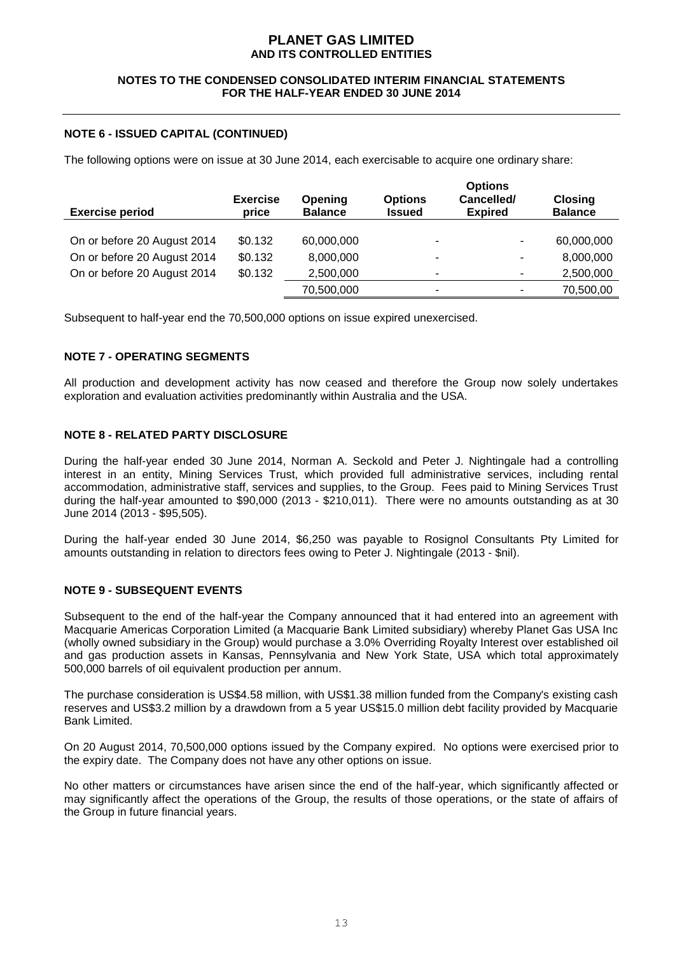#### **NOTES TO THE CONDENSED CONSOLIDATED INTERIM FINANCIAL STATEMENTS FOR THE HALF-YEAR ENDED 30 JUNE 2014**

## **NOTE 6 - ISSUED CAPITAL (CONTINUED)**

The following options were on issue at 30 June 2014, each exercisable to acquire one ordinary share:

| <b>Exercise period</b>      | <b>Exercise</b><br>price | Opening<br><b>Balance</b> | <b>Options</b><br><b>Issued</b> | <b>Options</b><br>Cancelled/<br><b>Expired</b> | <b>Closing</b><br><b>Balance</b> |
|-----------------------------|--------------------------|---------------------------|---------------------------------|------------------------------------------------|----------------------------------|
| On or before 20 August 2014 | \$0.132                  | 60,000,000                | ۰                               | ۰                                              | 60,000,000                       |
| On or before 20 August 2014 | \$0.132                  | 8,000,000                 | ۰                               | ۰                                              | 8,000,000                        |
| On or before 20 August 2014 | \$0.132                  | 2,500,000                 | ۰                               | ۰                                              | 2,500,000                        |
|                             |                          | 70,500,000                | -                               | ٠                                              | 70,500,00                        |

Subsequent to half-year end the 70,500,000 options on issue expired unexercised.

## **NOTE 7 - OPERATING SEGMENTS**

All production and development activity has now ceased and therefore the Group now solely undertakes exploration and evaluation activities predominantly within Australia and the USA.

## **NOTE 8 - RELATED PARTY DISCLOSURE**

During the half-year ended 30 June 2014, Norman A. Seckold and Peter J. Nightingale had a controlling interest in an entity, Mining Services Trust, which provided full administrative services, including rental accommodation, administrative staff, services and supplies, to the Group. Fees paid to Mining Services Trust during the half-year amounted to \$90,000 (2013 - \$210,011). There were no amounts outstanding as at 30 June 2014 (2013 - \$95,505).

During the half-year ended 30 June 2014, \$6,250 was payable to Rosignol Consultants Pty Limited for amounts outstanding in relation to directors fees owing to Peter J. Nightingale (2013 - \$nil).

## **NOTE 9 - SUBSEQUENT EVENTS**

Subsequent to the end of the half-year the Company announced that it had entered into an agreement with Macquarie Americas Corporation Limited (a Macquarie Bank Limited subsidiary) whereby Planet Gas USA Inc (wholly owned subsidiary in the Group) would purchase a 3.0% Overriding Royalty Interest over established oil and gas production assets in Kansas, Pennsylvania and New York State, USA which total approximately 500,000 barrels of oil equivalent production per annum.

The purchase consideration is US\$4.58 million, with US\$1.38 million funded from the Company's existing cash reserves and US\$3.2 million by a drawdown from a 5 year US\$15.0 million debt facility provided by Macquarie Bank Limited.

On 20 August 2014, 70,500,000 options issued by the Company expired. No options were exercised prior to the expiry date. The Company does not have any other options on issue.

No other matters or circumstances have arisen since the end of the half-year, which significantly affected or may significantly affect the operations of the Group, the results of those operations, or the state of affairs of the Group in future financial years.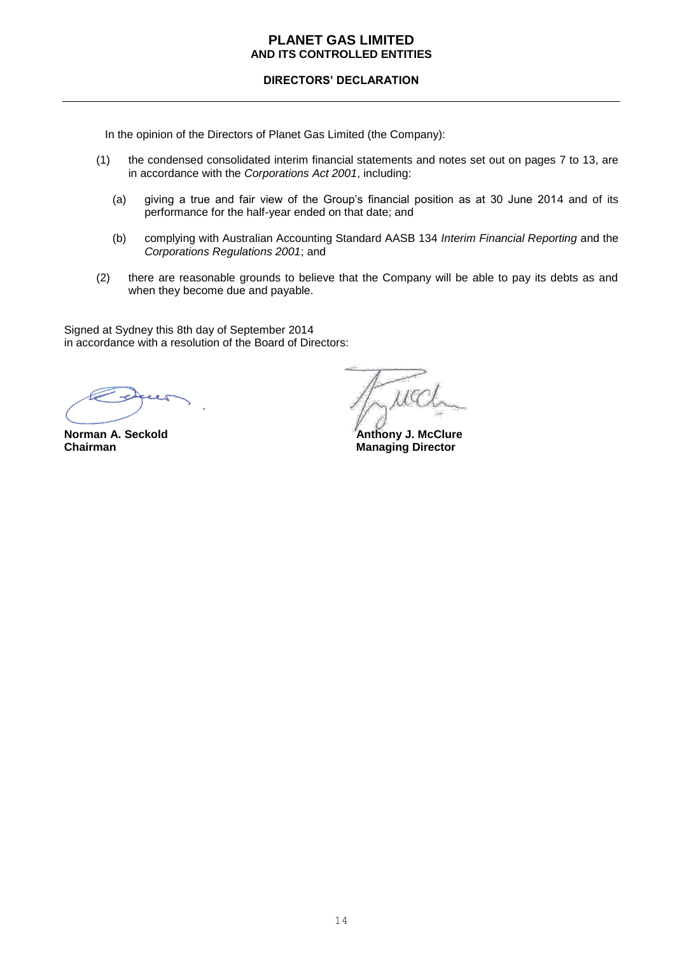## **DIRECTORS' DECLARATION**

In the opinion of the Directors of Planet Gas Limited (the Company):

- (1) the condensed consolidated interim financial statements and notes set out on pages 7 to 13, are in accordance with the *Corporations Act 2001*, including:
	- (a) giving a true and fair view of the Group's financial position as at 30 June 2014 and of its performance for the half-year ended on that date; and
	- (b) complying with Australian Accounting Standard AASB 134 *Interim Financial Reporting* and the *Corporations Regulations 2001*; and
- (2) there are reasonable grounds to believe that the Company will be able to pay its debts as and when they become due and payable.

Signed at Sydney this 8th day of September 2014 in accordance with a resolution of the Board of Directors:

 $1G$ 

**Norman A. Seckold Chairman A. Seckold Chairman A. Seckold Chairman A. Section Anthony J. McClure**<br> **Anthony J. McClure**<br> **Anthony J. McClure Managing Director**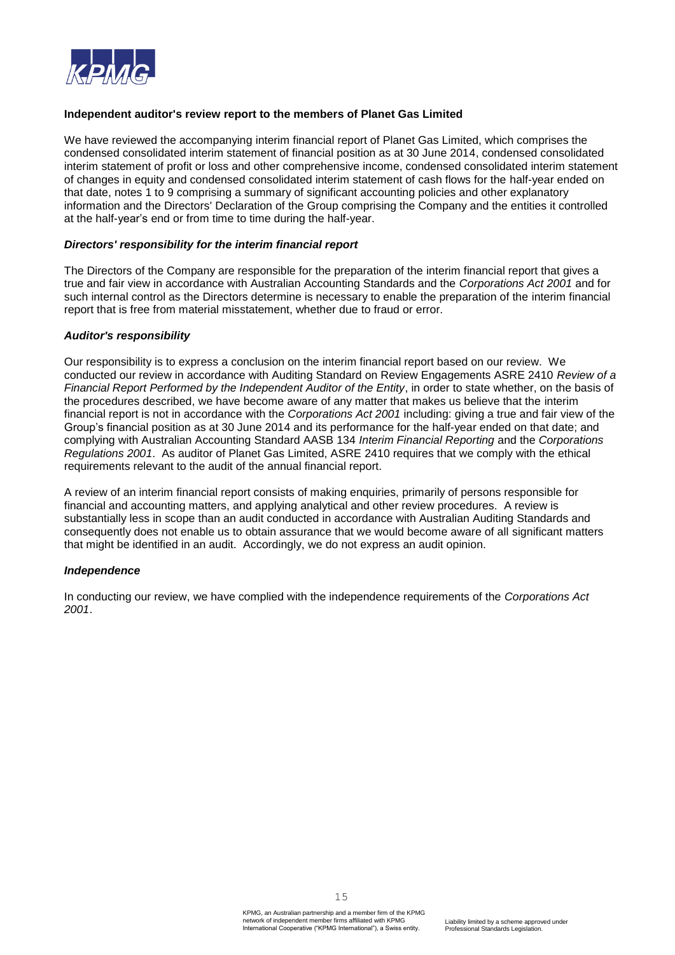

## **Independent auditor's review report to the members of Planet Gas Limited**

We have reviewed the accompanying interim financial report of Planet Gas Limited, which comprises the condensed consolidated interim statement of financial position as at 30 June 2014, condensed consolidated interim statement of profit or loss and other comprehensive income, condensed consolidated interim statement of changes in equity and condensed consolidated interim statement of cash flows for the half-year ended on that date, notes 1 to 9 comprising a summary of significant accounting policies and other explanatory information and the Directors' Declaration of the Group comprising the Company and the entities it controlled at the half-year's end or from time to time during the half-year.

#### *Directors' responsibility for the interim financial report*

The Directors of the Company are responsible for the preparation of the interim financial report that gives a true and fair view in accordance with Australian Accounting Standards and the *Corporations Act 2001* and for such internal control as the Directors determine is necessary to enable the preparation of the interim financial report that is free from material misstatement, whether due to fraud or error.

#### *Auditor's responsibility*

Our responsibility is to express a conclusion on the interim financial report based on our review. We conducted our review in accordance with Auditing Standard on Review Engagements ASRE 2410 *Review of a Financial Report Performed by the Independent Auditor of the Entity*, in order to state whether, on the basis of the procedures described, we have become aware of any matter that makes us believe that the interim financial report is not in accordance with the *Corporations Act 2001* including: giving a true and fair view of the Group's financial position as at 30 June 2014 and its performance for the half-year ended on that date; and complying with Australian Accounting Standard AASB 134 *Interim Financial Reporting* and the *Corporations Regulations 2001*. As auditor of Planet Gas Limited, ASRE 2410 requires that we comply with the ethical requirements relevant to the audit of the annual financial report.

A review of an interim financial report consists of making enquiries, primarily of persons responsible for financial and accounting matters, and applying analytical and other review procedures. A review is substantially less in scope than an audit conducted in accordance with Australian Auditing Standards and consequently does not enable us to obtain assurance that we would become aware of all significant matters that might be identified in an audit. Accordingly, we do not express an audit opinion.

#### *Independence*

In conducting our review, we have complied with the independence requirements of the *Corporations Act 2001*.

15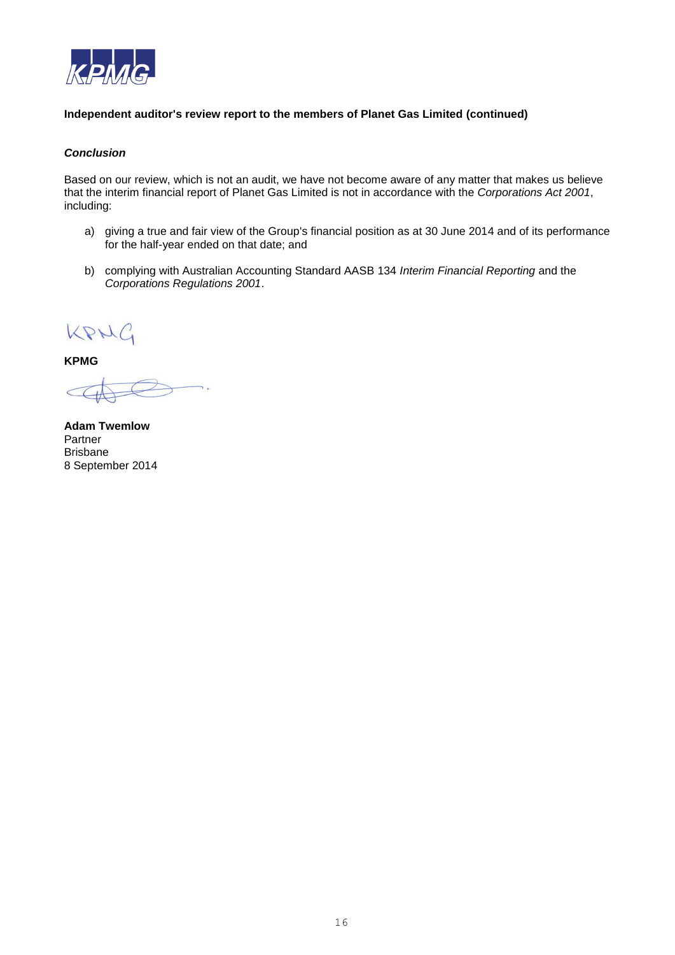

## **Independent auditor's review report to the members of Planet Gas Limited (continued)**

## *Conclusion*

Based on our review, which is not an audit, we have not become aware of any matter that makes us believe that the interim financial report of Planet Gas Limited is not in accordance with the *Corporations Act 2001*, including:

- a) giving a true and fair view of the Group's financial position as at 30 June 2014 and of its performance for the half-year ended on that date; and
- b) complying with Australian Accounting Standard AASB 134 *Interim Financial Reporting* and the *Corporations Regulations 2001*.

KPNC

**KPMG**

**Adam Twemlow** Partner Brisbane 8 September 2014